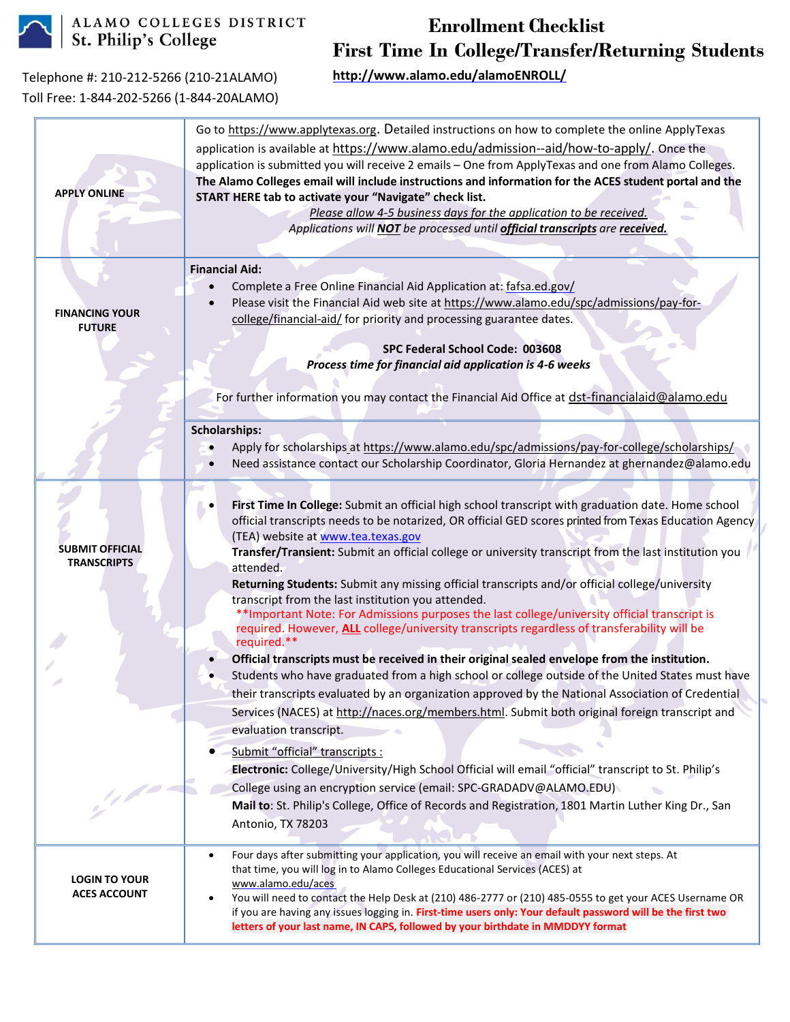

ALAMO COLLEGES DISTRICT<br>St. Philip's College

## **Enrollment Checklist First Time In College/Transfer/Returning Students**

Telephone #: 210-212-5266 (210-21ALAMO) Toll Free: 1-844-202-5266 (1-844-20ALAMO) **<http://www.alamo.edu/alamoENROLL/>**

|                                              | Go to https://www.applytexas.org. Detailed instructions on how to complete the online ApplyTexas<br>application is available at https://www.alamo.edu/admission--aid/how-to-apply/. Once the<br>application is submitted you will receive 2 emails - One from ApplyTexas and one from Alamo Colleges.<br>The Alamo Colleges email will include instructions and information for the ACES student portal and the                                                                                                                                                                                                                                                                                                                                        |
|----------------------------------------------|--------------------------------------------------------------------------------------------------------------------------------------------------------------------------------------------------------------------------------------------------------------------------------------------------------------------------------------------------------------------------------------------------------------------------------------------------------------------------------------------------------------------------------------------------------------------------------------------------------------------------------------------------------------------------------------------------------------------------------------------------------|
| <b>APPLY ONLINE</b>                          | START HERE tab to activate your "Navigate" check list.<br>Please allow 4-5 business days for the application to be received.<br>Applications will <b>NOT</b> be processed until <i>official transcripts</i> are <i>received</i> .                                                                                                                                                                                                                                                                                                                                                                                                                                                                                                                      |
| <b>FINANCING YOUR</b><br><b>FUTURE</b>       | <b>Financial Aid:</b><br>Complete a Free Online Financial Aid Application at: fafsa.ed.gov/<br>Please visit the Financial Aid web site at https://www.alamo.edu/spc/admissions/pay-for-<br>college/financial-aid/ for priority and processing guarantee dates.<br>SPC Federal School Code: 003608<br>Process time for financial aid application is 4-6 weeks                                                                                                                                                                                                                                                                                                                                                                                           |
|                                              | For further information you may contact the Financial Aid Office at dst-financialaid@alamo.edu<br><b>Scholarships:</b><br>Apply for scholarships at https://www.alamo.edu/spc/admissions/pay-for-college/scholarships/<br>Need assistance contact our Scholarship Coordinator, Gloria Hernandez at ghernandez@alamo.edu                                                                                                                                                                                                                                                                                                                                                                                                                                |
| <b>SUBMIT OFFICIAL</b><br><b>TRANSCRIPTS</b> | First Time In College: Submit an official high school transcript with graduation date. Home school<br>official transcripts needs to be notarized, OR official GED scores printed from Texas Education Agency<br>(TEA) website at www.tea.texas.gov<br>Transfer/Transient: Submit an official college or university transcript from the last institution you<br>attended.<br>Returning Students: Submit any missing official transcripts and/or official college/university<br>transcript from the last institution you attended.<br>** Important Note: For Admissions purposes the last college/university official transcript is<br>required. However, <b>ALL</b> college/university transcripts regardless of transferability will be<br>required.** |
|                                              | Official transcripts must be received in their original sealed envelope from the institution.<br>Students who have graduated from a high school or college outside of the United States must have<br>their transcripts evaluated by an organization approved by the National Association of Credential<br>Services (NACES) at http://naces.org/members.html. Submit both original foreign transcript and<br>evaluation transcript.<br>Submit "official" transcripts :<br>Electronic: College/University/High School Official will email "official" transcript to St. Philip's                                                                                                                                                                          |
| $\frac{1}{2}$                                | College using an encryption service (email: SPC-GRADADV@ALAMO.EDU)<br>Mail to: St. Philip's College, Office of Records and Registration, 1801 Martin Luther King Dr., San<br>Antonio, TX 78203                                                                                                                                                                                                                                                                                                                                                                                                                                                                                                                                                         |
| <b>LOGIN TO YOUR</b><br><b>ACES ACCOUNT</b>  | Four days after submitting your application, you will receive an email with your next steps. At<br>$\bullet$<br>that time, you will log in to Alamo Colleges Educational Services (ACES) at<br>www.alamo.edu/aces<br>You will need to contact the Help Desk at (210) 486-2777 or (210) 485-0555 to get your ACES Username OR<br>if you are having any issues logging in. First-time users only: Your default password will be the first two<br>letters of your last name, IN CAPS, followed by your birthdate in MMDDYY format                                                                                                                                                                                                                         |